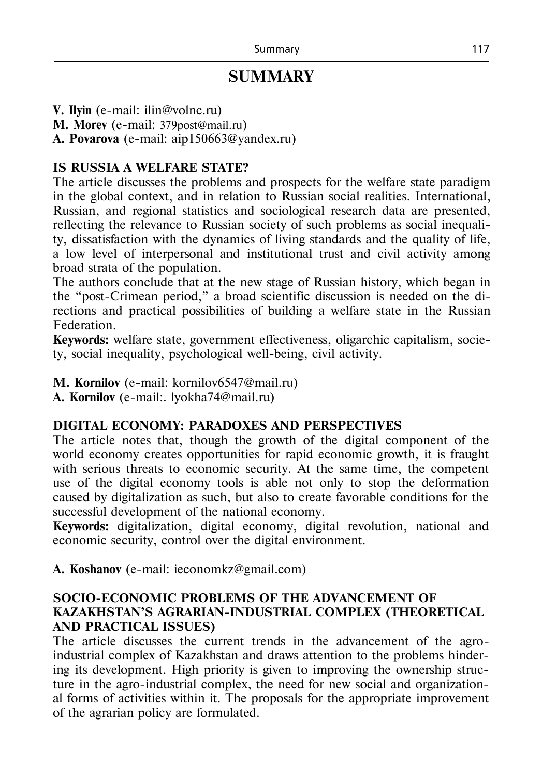# **SUMMARY**

**V. Ilyin** (e-mail: ilin@volnc.ru)

**M. Morev** (e-mail: 379post@mail.ru)

**A. Povarova** (e-mail: aip150663@yandex.ru)

# **IS RUSSIA A WELFARE STATE?**

The article discusses the problems and prospects for the welfare state paradigm in the global context, and in relation to Russian social realities. International, Russian, and regional statistics and sociological research data are presented, reflecting the relevance to Russian society of such problems as social inequality, dissatisfaction with the dynamics of living standards and the quality of life, a low level of interpersonal and institutional trust and civil activity among broad strata of the population.

The authors conclude that at the new stage of Russian history, which began in the "post-Crimean period," a broad scientific discussion is needed on the directions and practical possibilities of building a welfare state in the Russian Federation.

**Keywords:** welfare state, government effectiveness, oligarchic capitalism, society, social inequality, psychological well-being, civil activity.

**M. Kornilov** (e-mail: [kornilov6547@mail.ru\)](mailto:kornilov6547@mail.ru)

**A. Kornilov** (e-mail:. lyokha74@mail.ru)

#### **DIGITAL ECONOMY: PARADOXES AND PERSPECTIVES**

The article notes that, though the growth of the digital component of the world economy creates opportunities for rapid economic growth, it is fraught with serious threats to economic security. At the same time, the competent use of the digital economy tools is able not only to stop the deformation caused by digitalization as such, but also to create favorable conditions for the successful development of the national economy.

**Keywords:** digitalization, digital economy, digital revolution, national and economic security, control over the digital environment.

**A. Koshanov** (e-mail: ieconomkz@gmail.com)

## **SOCIO-ECONOMIC PROBLEMS OF THE ADVANCEMENT OF KAZAKHSTAN'S AGRARIAN-INDUSTRIAL COMPLEX (THEORETICAL AND PRACTICAL ISSUES)**

The article discusses the current trends in the advancement of the agroindustrial complex of Kazakhstan and draws attention to the problems hindering its development. High priority is given to improving the ownership structure in the agro-industrial complex, the need for new social and organizational forms of activities within it. The proposals for the appropriate improvement of the agrarian policy are formulated.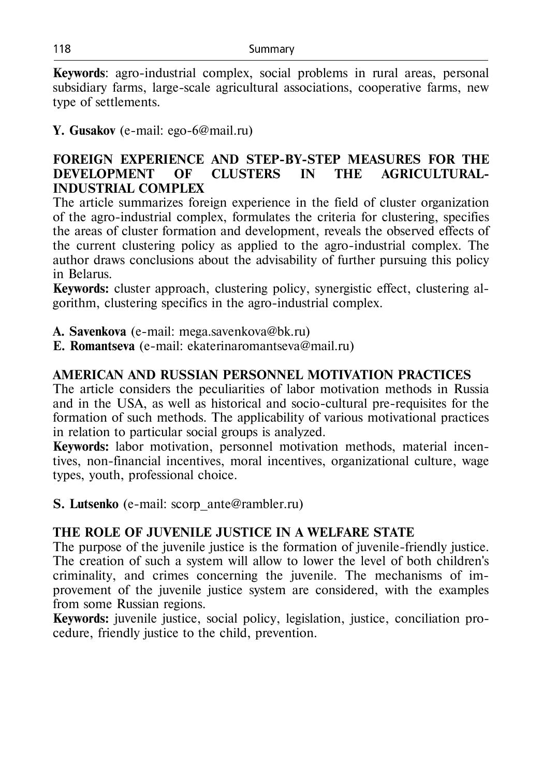**Keywords**: agro-industrial complex, social problems in rural areas, personal subsidiary farms, large-scale agricultural associations, cooperative farms, new type of settlements.

**Y. Gusakov** (e-mail: ego-6@mail.ru)

## **FOREIGN EXPERIENCE AND STEP-BY-STEP MEASURES FOR THE DEVELOPMENT OF CLUSTERS IN THE AGRICULTURAL-INDUSTRIAL COMPLEX**

The article summarizes foreign experience in the field of cluster organization of the agro-industrial complex, formulates the criteria for clustering, specifies the areas of cluster formation and development, reveals the observed effects of the current clustering policy as applied to the agro-industrial complex. The author draws conclusions about the advisability of further pursuing this policy in Belarus.

**Keywords:** cluster approach, clustering policy, synergistic effect, clustering algorithm, clustering specifics in the agro-industrial complex.

**А. Savenkova** (e-mail: [mega.savenkova@bk.ru\)](mailto:mega.savenkova@bk.ru)

**Е. Romantseva** (e-mail: [ekaterinaromantseva@mail.ru\)](mailto:ekaterinaromantseva@mail.ru)

## **АMERICAN AND RUSSIAN PERSONNEL MOTIVATION PRACTICES**

The article considers the peculiarities of labor motivation methods in Russia and in the USA, as well as historical and socio-cultural pre-requisites for the formation of such methods. The applicability of various motivational practices in relation to particular social groups is analyzed.

**Keywords:** labor motivation, personnel motivation methods, material incentives, non-financial incentives, moral incentives, organizational culture, wage types, youth, professional choice.

**S. Lutsenko** (e-mail: [scorp\\_ante@rambler.ru\)](mailto:scorp_ante@rambler.ru)

## **THE ROLE OF JUVENILE JUSTICE IN A WELFARE STATE**

The purpose of the juvenile justice is the formation of juvenile-friendly justice. The creation of such a system will allow to lower the level of both children's criminality, and crimes concerning the juvenile. The mechanisms of improvement of the juvenile justice system are considered, with the examples from some Russian regions.

**Keywords:** juvenile justice, social policy, legislation, justice, conciliation procedure, friendly justice to the child, prevention.

118